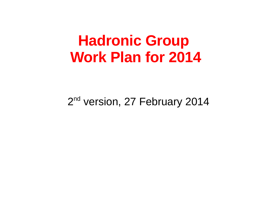## **Hadronic Group Work Plan for 2014**

#### 2<sup>nd</sup> version, 27 February 2014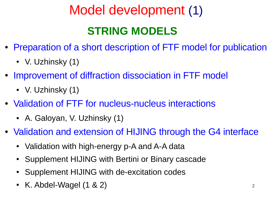# Model development (1)

### **STRING MODELS**

- Preparation of a short description of FTF model for publication
	- V. Uzhinsky (1)
- Improvement of diffraction dissociation in FTF model
	- V. Uzhinsky  $(1)$
- Validation of FTF for nucleus-nucleus interactions
	- A. Galoyan, V. Uzhinsky (1)
- Validation and extension of HIJING through the G4 interface
	- Validation with high-energy p-A and A-A data
	- Supplement HIJING with Bertini or Binary cascade
	- Supplement HIJING with de-excitation codes
	- K. Abdel-Wagel  $(1 \& 2)$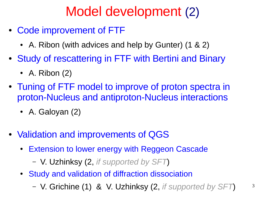## Model development (2)

- Code improvement of FTF
	- A. Ribon (with advices and help by Gunter)  $(1 \& 2)$
- Study of rescattering in FTF with Bertini and Binary
	- A. Ribon  $(2)$
- Tuning of FTF model to improve of proton spectra in proton-Nucleus and antiproton-Nucleus interactions
	- A. Galoyan  $(2)$
- Validation and improvements of QGS
	- Extension to lower energy with Reggeon Cascade
		- V. Uzhinksy (2, *if supported by SFT*)
	- Study and validation of diffraction dissociation
		- V. Grichine (1) & V. Uzhinksy (2, *if supported by SFT*)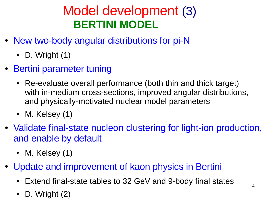### Model development (3)  **BERTINI MODEL**

- New two-body angular distributions for pi-N
	- D. Wright  $(1)$
- Bertini parameter tuning
	- Re-evaluate overall performance (both thin and thick target) with in-medium cross-sections, improved angular distributions, and physically-motivated nuclear model parameters
	- M. Kelsey  $(1)$
- Validate final-state nucleon clustering for light-ion production, and enable by default
	- M. Kelsey  $(1)$
- Update and improvement of kaon physics in Bertini
	- Extend final-state tables to 32 GeV and 9-body final states
	- D. Wright (2)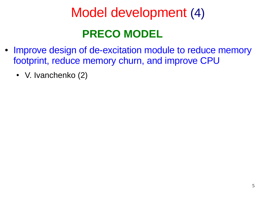# Model development (4) **PRECO MODEL**

- Improve design of de-excitation module to reduce memory footprint, reduce memory churn, and improve CPU
	- V. Ivanchenko (2)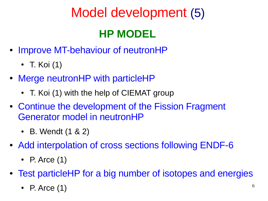## Model development (5)

### **HP MODEL**

- Improve MT-behaviour of neutronHP
	- T. Koi  $(1)$
- Merge neutronHP with particleHP
	- T. Koi (1) with the help of CIEMAT group
- Continue the development of the Fission Fragment Generator model in neutronHP
	- B. Wendt  $(1 \& 2)$
- Add interpolation of cross sections following ENDF-6
	- P. Arce  $(1)$
- Test particleHP for a big number of isotopes and energies
	- P. Arce  $(1)$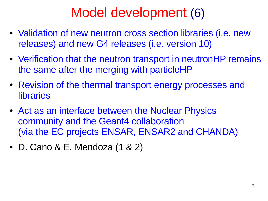## Model development (6)

- Validation of new neutron cross section libraries (i.e. new releases) and new G4 releases (i.e. version 10)
- Verification that the neutron transport in neutronHP remains the same after the merging with particleHP
- Revision of the thermal transport energy processes and **libraries**
- Act as an interface between the Nuclear Physics community and the Geant4 collaboration (via the EC projects ENSAR, ENSAR2 and CHANDA)
- $\bullet$  D. Cano & E. Mendoza  $(1 \& 2)$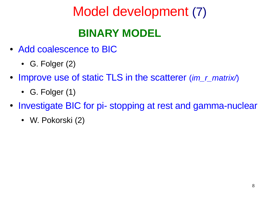## Model development (7)

### **BINARY MODEL**

- Add coalescence to BIC
	- G. Folger  $(2)$
- Improve use of static TLS in the scatterer (*im\_r\_matrix*)
	- G. Folger  $(1)$
- Investigate BIC for pi- stopping at rest and gamma-nuclear
	- W. Pokorski (2)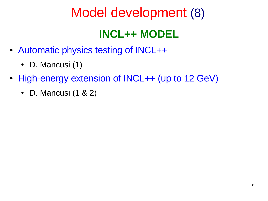### Model development (8)

### **INCL++ MODEL**

- Automatic physics testing of INCL++
	- D. Mancusi $(1)$
- High-energy extension of INCL++ (up to 12 GeV)
	- D. Mancusi  $(1 \& 2)$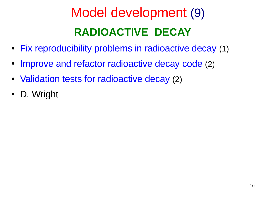# Model development (9)  **RADIOACTIVE\_DECAY**

- Fix reproducibility problems in radioactive decay (1)
- Improve and refactor radioactive decay code (2)
- Validation tests for radioactive decay (2)
- D. Wright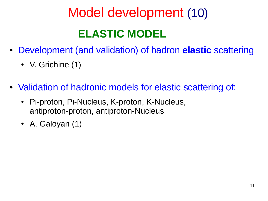# Model development (10)  **ELASTIC MODEL**

- Development (and validation) of hadron **elastic** scattering
	- V. Grichine  $(1)$
- Validation of hadronic models for elastic scattering of:
	- Pi-proton, Pi-Nucleus, K-proton, K-Nucleus, antiproton-proton, antiproton-Nucleus
	- A. Galoyan  $(1)$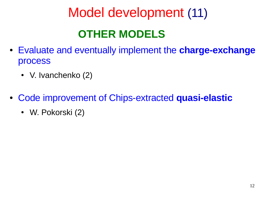# Model development (11)

### **OTHER MODELS**

- Evaluate and eventually implement the **charge-exchange** process
	- V. Ivanchenko (2)
- Code improvement of Chips-extracted **quasi-elastic**
	- W. Pokorski (2)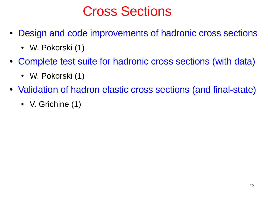### Cross Sections

- Design and code improvements of hadronic cross sections
	- W. Pokorski (1)
- Complete test suite for hadronic cross sections (with data)
	- W. Pokorski (1)
- Validation of hadron elastic cross sections (and final-state)
	- V. Grichine (1)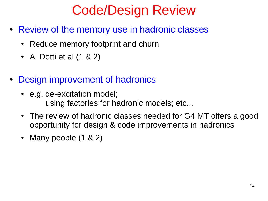## Code/Design Review

- Review of the memory use in hadronic classes
	- Reduce memory footprint and churn
	- A. Dotti et al  $(1 \& 2)$
- **Design improvement of hadronics** 
	- e.g. de-excitation model; using factories for hadronic models; etc...
	- The review of hadronic classes needed for G4 MT offers a good opportunity for design & code improvements in hadronics
	- Many people  $(1 \& 2)$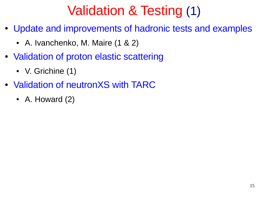## Validation & Testing (1)

- Update and improvements of hadronic tests and examples
	- A. Ivanchenko, M. Maire  $(1 \& 2)$
- Validation of proton elastic scattering
	- V. Grichine (1)
- Validation of neutronXS with TARC
	- A. Howard  $(2)$